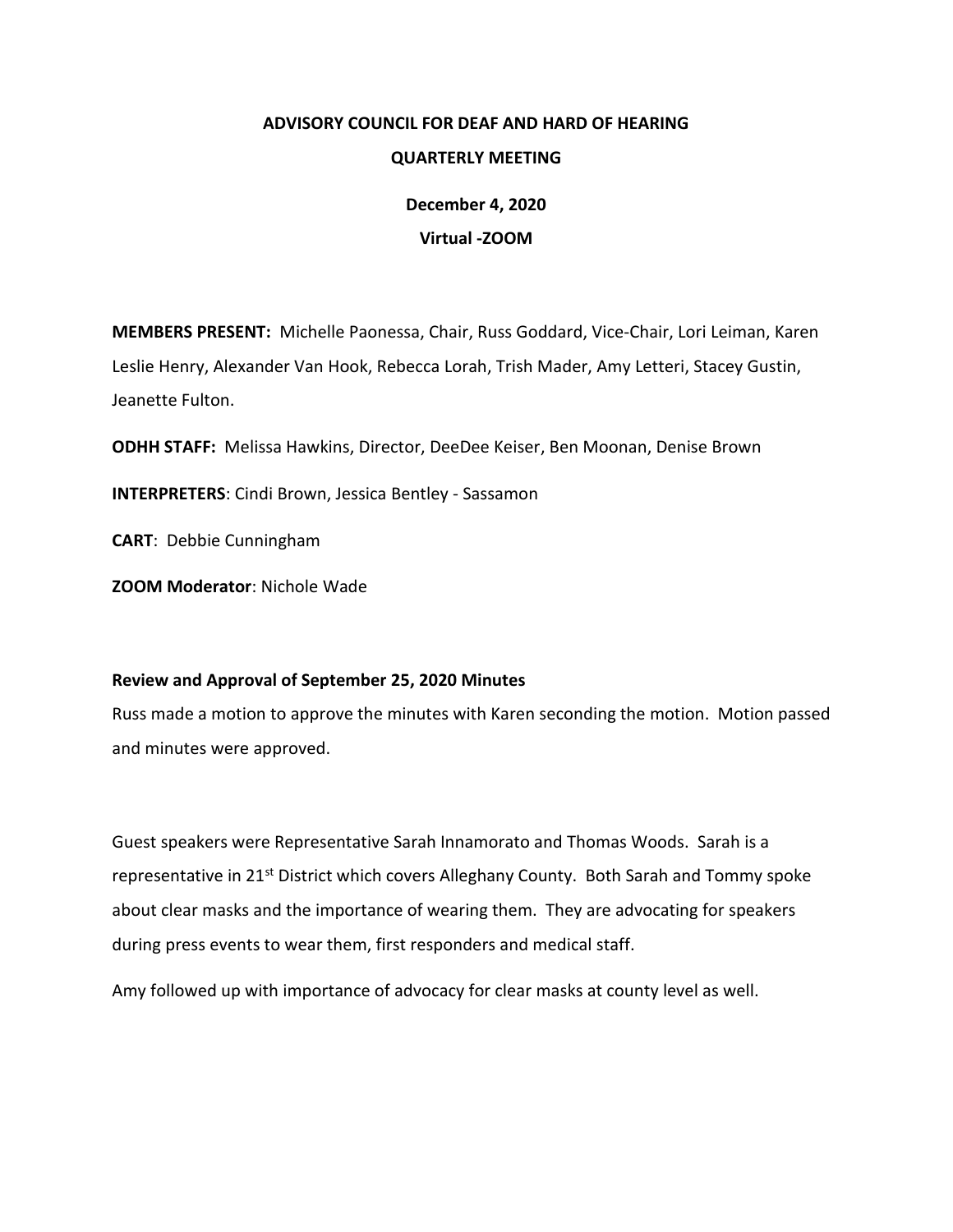# **ADVISORY COUNCIL FOR DEAF AND HARD OF HEARING**

## **QUARTERLY MEETING**

**December 4, 2020 Virtual -ZOOM**

**MEMBERS PRESENT:** Michelle Paonessa, Chair, Russ Goddard, Vice-Chair, Lori Leiman, Karen Leslie Henry, Alexander Van Hook, Rebecca Lorah, Trish Mader, Amy Letteri, Stacey Gustin, Jeanette Fulton.

**ODHH STAFF:** Melissa Hawkins, Director, DeeDee Keiser, Ben Moonan, Denise Brown

**INTERPRETERS**: Cindi Brown, Jessica Bentley - Sassamon

**CART**: Debbie Cunningham

**ZOOM Moderator**: Nichole Wade

## **Review and Approval of September 25, 2020 Minutes**

Russ made a motion to approve the minutes with Karen seconding the motion. Motion passed and minutes were approved.

Guest speakers were Representative Sarah Innamorato and Thomas Woods. Sarah is a representative in 21<sup>st</sup> District which covers Alleghany County. Both Sarah and Tommy spoke about clear masks and the importance of wearing them. They are advocating for speakers during press events to wear them, first responders and medical staff.

Amy followed up with importance of advocacy for clear masks at county level as well.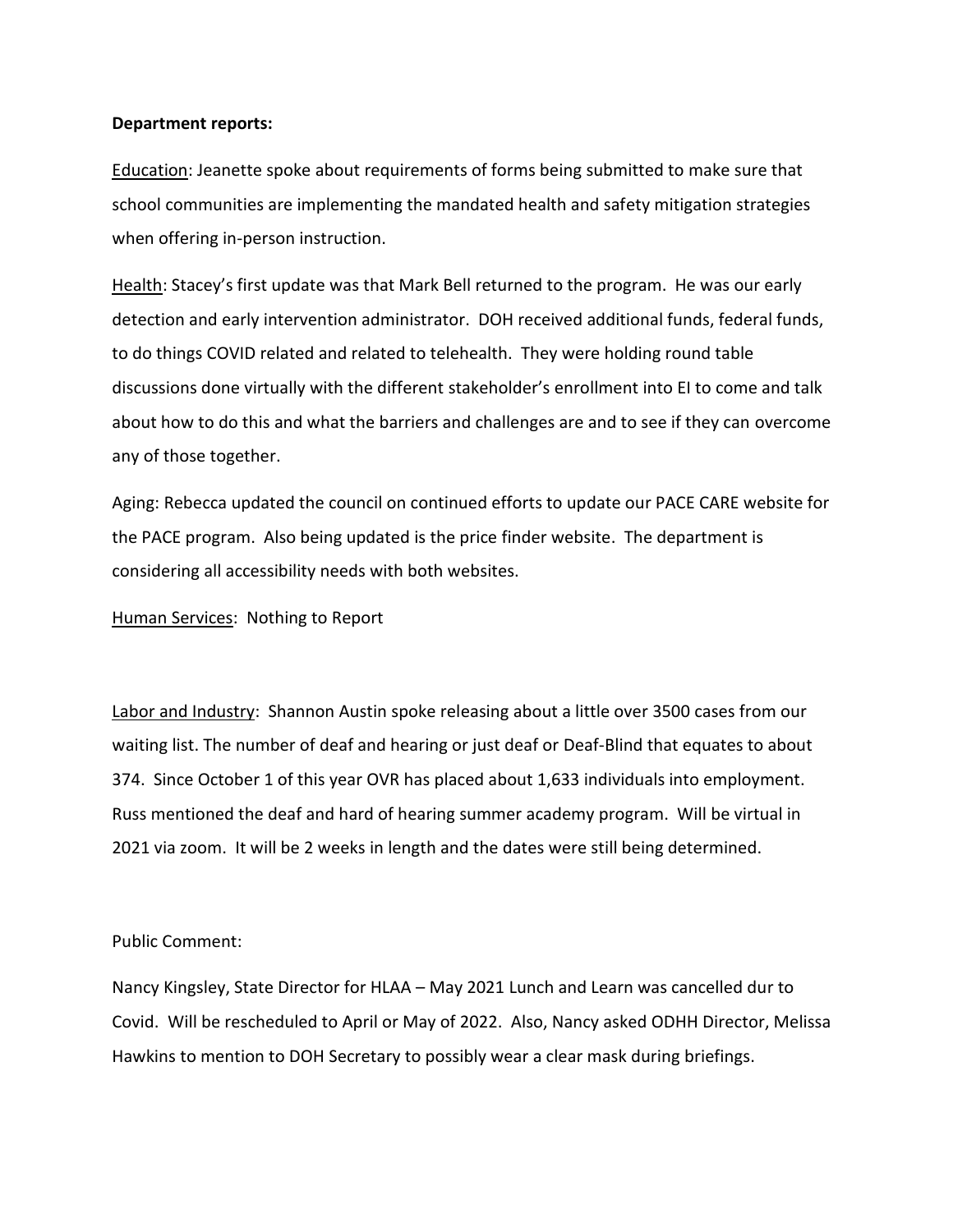#### **Department reports:**

Education: Jeanette spoke about requirements of forms being submitted to make sure that school communities are implementing the mandated health and safety mitigation strategies when offering in-person instruction.

Health: Stacey's first update was that Mark Bell returned to the program. He was our early detection and early intervention administrator. DOH received additional funds, federal funds, to do things COVID related and related to telehealth. They were holding round table discussions done virtually with the different stakeholder's enrollment into EI to come and talk about how to do this and what the barriers and challenges are and to see if they can overcome any of those together.

Aging: Rebecca updated the council on continued efforts to update our PACE CARE website for the PACE program. Also being updated is the price finder website. The department is considering all accessibility needs with both websites.

Human Services: Nothing to Report

Labor and Industry: Shannon Austin spoke releasing about a little over 3500 cases from our waiting list. The number of deaf and hearing or just deaf or Deaf-Blind that equates to about 374. Since October 1 of this year OVR has placed about 1,633 individuals into employment. Russ mentioned the deaf and hard of hearing summer academy program. Will be virtual in 2021 via zoom. It will be 2 weeks in length and the dates were still being determined.

### Public Comment:

Nancy Kingsley, State Director for HLAA – May 2021 Lunch and Learn was cancelled dur to Covid. Will be rescheduled to April or May of 2022. Also, Nancy asked ODHH Director, Melissa Hawkins to mention to DOH Secretary to possibly wear a clear mask during briefings.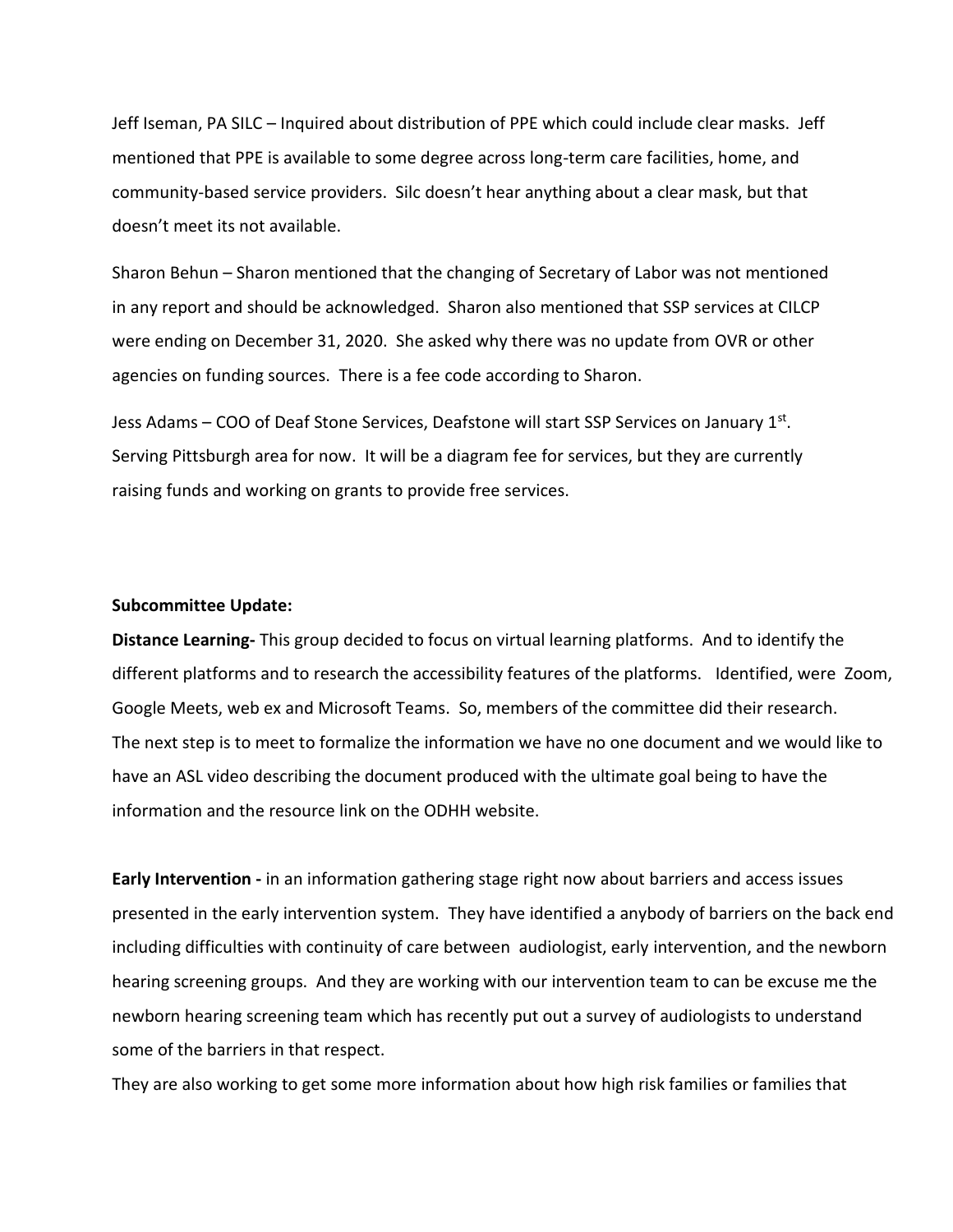Jeff Iseman, PA SILC – Inquired about distribution of PPE which could include clear masks. Jeff mentioned that PPE is available to some degree across long-term care facilities, home, and community-based service providers. Silc doesn't hear anything about a clear mask, but that doesn't meet its not available.

Sharon Behun – Sharon mentioned that the changing of Secretary of Labor was not mentioned in any report and should be acknowledged. Sharon also mentioned that SSP services at CILCP were ending on December 31, 2020. She asked why there was no update from OVR or other agencies on funding sources. There is a fee code according to Sharon.

Jess Adams – COO of Deaf Stone Services, Deafstone will start SSP Services on January 1<sup>st</sup>. Serving Pittsburgh area for now. It will be a diagram fee for services, but they are currently raising funds and working on grants to provide free services.

#### **Subcommittee Update:**

**Distance Learning-** This group decided to focus on virtual learning platforms. And to identify the different platforms and to research the accessibility features of the platforms. Identified, were Zoom, Google Meets, web ex and Microsoft Teams. So, members of the committee did their research. The next step is to meet to formalize the information we have no one document and we would like to have an ASL video describing the document produced with the ultimate goal being to have the information and the resource link on the ODHH website.

**Early Intervention -** in an information gathering stage right now about barriers and access issues presented in the early intervention system. They have identified a anybody of barriers on the back end including difficulties with continuity of care between audiologist, early intervention, and the newborn hearing screening groups. And they are working with our intervention team to can be excuse me the newborn hearing screening team which has recently put out a survey of audiologists to understand some of the barriers in that respect.

They are also working to get some more information about how high risk families or families that